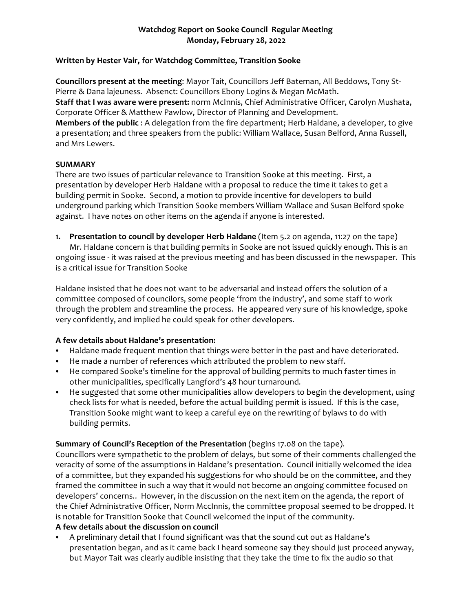## **Watchdog Report on Sooke Council Regular Meeting Monday, February 28, 2022**

#### **Written by Hester Vair, for Watchdog Committee, Transition Sooke**

**Councillors present at the meeting**: Mayor Tait, Councillors Jeff Bateman, All Beddows, Tony St-Pierre & Dana lajeuness. Absenct: Councillors Ebony Logins & Megan McMath. **Staff that I was aware were present:** norm McInnis, Chief Administrative Officer, Carolyn Mushata, Corporate Officer & Matthew Pawlow, Director of Planning and Development. **Members of the public** : A delegation from the fire department; Herb Haldane, a developer, to give a presentation; and three speakers from the public: William Wallace, Susan Belford, Anna Russell, and Mrs Lewers.

#### **SUMMARY**

There are two issues of particular relevance to Transition Sooke at this meeting. First, a presentation by developer Herb Haldane with a proposal to reduce the time it takes to get a building permit in Sooke. Second, a motion to provide incentive for developers to build underground parking which Transition Sooke members William Wallace and Susan Belford spoke against. I have notes on other items on the agenda if anyone is interested.

**1. Presentation to council by developer Herb Haldane** (Item 5.2 on agenda, 11:27 on the tape) Mr. Haldane concern is that building permits in Sooke are not issued quickly enough. This is an ongoing issue - it was raised at the previous meeting and has been discussed in the newspaper. This is a critical issue for Transition Sooke

Haldane insisted that he does not want to be adversarial and instead offers the solution of a committee composed of councilors, some people 'from the industry', and some staff to work through the problem and streamline the process. He appeared very sure of his knowledge, spoke very confidently, and implied he could speak for other developers.

## **A few details about Haldane's presentation:**

- Haldane made frequent mention that things were better in the past and have deteriorated.
- He made a number of references which attributed the problem to new staff.
- He compared Sooke's timeline for the approval of building permits to much faster times in other municipalities, specifically Langford's 48 hour turnaround.
- He suggested that some other municipalities allow developers to begin the development, using check lists for what is needed, before the actual building permit is issued. If this is the case, Transition Sooke might want to keep a careful eye on the rewriting of bylaws to do with building permits.

## **Summary of Council's Reception of the Presentation** (begins 17.08 on the tape).

Councillors were sympathetic to the problem of delays, but some of their comments challenged the veracity of some of the assumptions in Haldane's presentation. Council initially welcomed the idea of a committee, but they expanded his suggestions for who should be on the committee, and they framed the committee in such a way that it would not become an ongoing committee focused on developers' concerns.. However, in the discussion on the next item on the agenda, the report of the Chief Administrative Officer, Norm MccInnis, the committee proposal seemed to be dropped. It is notable for Transition Sooke that Council welcomed the input of the community.

## **A few details about the discussion on council**

A preliminary detail that I found significant was that the sound cut out as Haldane's presentation began, and as it came back I heard someone say they should just proceed anyway, but Mayor Tait was clearly audible insisting that they take the time to fix the audio so that